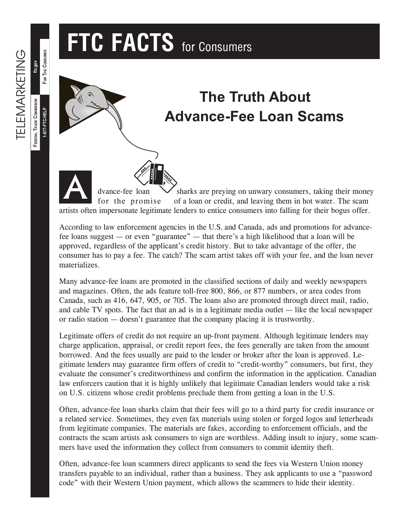## **FTC FACTS** for Consumers



## **The Truth About Advance-Fee Loan Scams**

dvance-fee loan  $\vee$  sharks are preying on unwary consumers, taking their money for the promise of a loan or credit, and leaving them in hot water. The scam artists often impersonate legitimate lenders to entice consumers into falling for their bogus offer. A

According to law enforcement agencies in the U.S. and Canada, ads and promotions for advancefee loans suggest — or even "guarantee" — that there's a high likelihood that a loan will be approved, regardless of the applicant's credit history. But to take advantage of the offer, the consumer has to pay a fee. The catch? The scam artist takes off with your fee, and the loan never materializes.

Many advance-fee loans are promoted in the classified sections of daily and weekly newspapers and magazines. Often, the ads feature toll-free 800, 866, or 877 numbers, or area codes from Canada, such as 416, 647, 905, or 705. The loans also are promoted through direct mail, radio, and cable TV spots. The fact that an ad is in a legitimate media outlet — like the local newspaper or radio station — doesn't guarantee that the company placing it is trustworthy.

Legitimate offers of credit do not require an up-front payment. Although legitimate lenders may charge application, appraisal, or credit report fees, the fees generally are taken from the amount borrowed. And the fees usually are paid to the lender or broker after the loan is approved. Legitimate lenders may guarantee firm offers of credit to "credit-worthy" consumers, but first, they evaluate the consumer's creditworthiness and confirm the information in the application. Canadian law enforcers caution that it is highly unlikely that legitimate Canadian lenders would take a risk on U.S. citizens whose credit problems preclude them from getting a loan in the U.S.

Often, advance-fee loan sharks claim that their fees will go to a third party for credit insurance or a related service. Sometimes, they even fax materials using stolen or forged logos and letterheads from legitimate companies. The materials are fakes, according to enforcement officials, and the contracts the scam artists ask consumers to sign are worthless. Adding insult to injury, some scammers have used the information they collect from consumers to commit identity theft.

Often, advance-fee loan scammers direct applicants to send the fees via Western Union money transfers payable to an individual, rather than a business. They ask applicants to use a "password code" with their Western Union payment, which allows the scammers to hide their identity.

**FOR THE CONSUMER**

FOR THE CONSUMER

**ftc.gov**

**1-877-FTC-HELP**

**FEDERAL TRADE COMMISSION**

FEDERAL TRADE COMMISSION 1-877-FTC-HELP